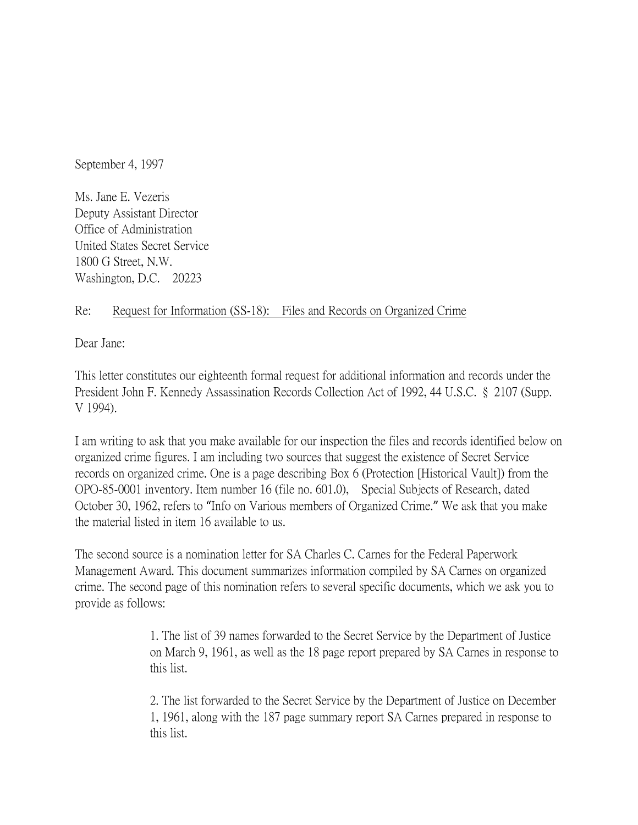September 4, 1997

Ms. Jane E. Vezeris Deputy Assistant Director Office of Administration United States Secret Service 1800 G Street, N.W. Washington, D.C. 20223

## Re: Request for Information (SS-18): Files and Records on Organized Crime

Dear Jane:

This letter constitutes our eighteenth formal request for additional information and records under the President John F. Kennedy Assassination Records Collection Act of 1992, 44 U.S.C. § 2107 (Supp. V 1994).

I am writing to ask that you make available for our inspection the files and records identified below on organized crime figures. I am including two sources that suggest the existence of Secret Service records on organized crime. One is a page describing Box 6 (Protection [Historical Vault]) from the OPO-85-0001 inventory. Item number 16 (file no. 601.0), Special Subjects of Research, dated October 30, 1962, refers to "Info on Various members of Organized Crime." We ask that you make the material listed in item 16 available to us.

The second source is a nomination letter for SA Charles C. Carnes for the Federal Paperwork Management Award. This document summarizes information compiled by SA Carnes on organized crime. The second page of this nomination refers to several specific documents, which we ask you to provide as follows:

> 1. The list of 39 names forwarded to the Secret Service by the Department of Justice on March 9, 1961, as well as the 18 page report prepared by SA Carnes in response to this list.

> 2. The list forwarded to the Secret Service by the Department of Justice on December 1, 1961, along with the 187 page summary report SA Carnes prepared in response to this list.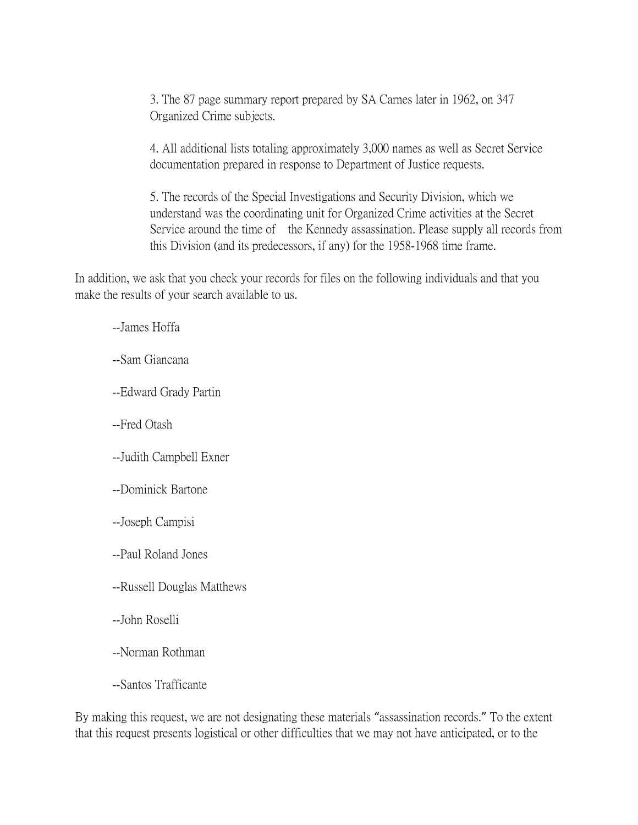3. The 87 page summary report prepared by SA Carnes later in 1962, on 347 Organized Crime subjects.

4. All additional lists totaling approximately 3,000 names as well as Secret Service documentation prepared in response to Department of Justice requests.

5. The records of the Special Investigations and Security Division, which we understand was the coordinating unit for Organized Crime activities at the Secret Service around the time of the Kennedy assassination. Please supply all records from this Division (and its predecessors, if any) for the 1958-1968 time frame.

In addition, we ask that you check your records for files on the following individuals and that you make the results of your search available to us.

--James Hoffa

--Sam Giancana

- --Edward Grady Partin
- --Fred Otash
- --Judith Campbell Exner
- --Dominick Bartone
- --Joseph Campisi
- --Paul Roland Jones
- --Russell Douglas Matthews
- --John Roselli
- --Norman Rothman
- --Santos Trafficante

By making this request, we are not designating these materials "assassination records." To the extent that this request presents logistical or other difficulties that we may not have anticipated, or to the